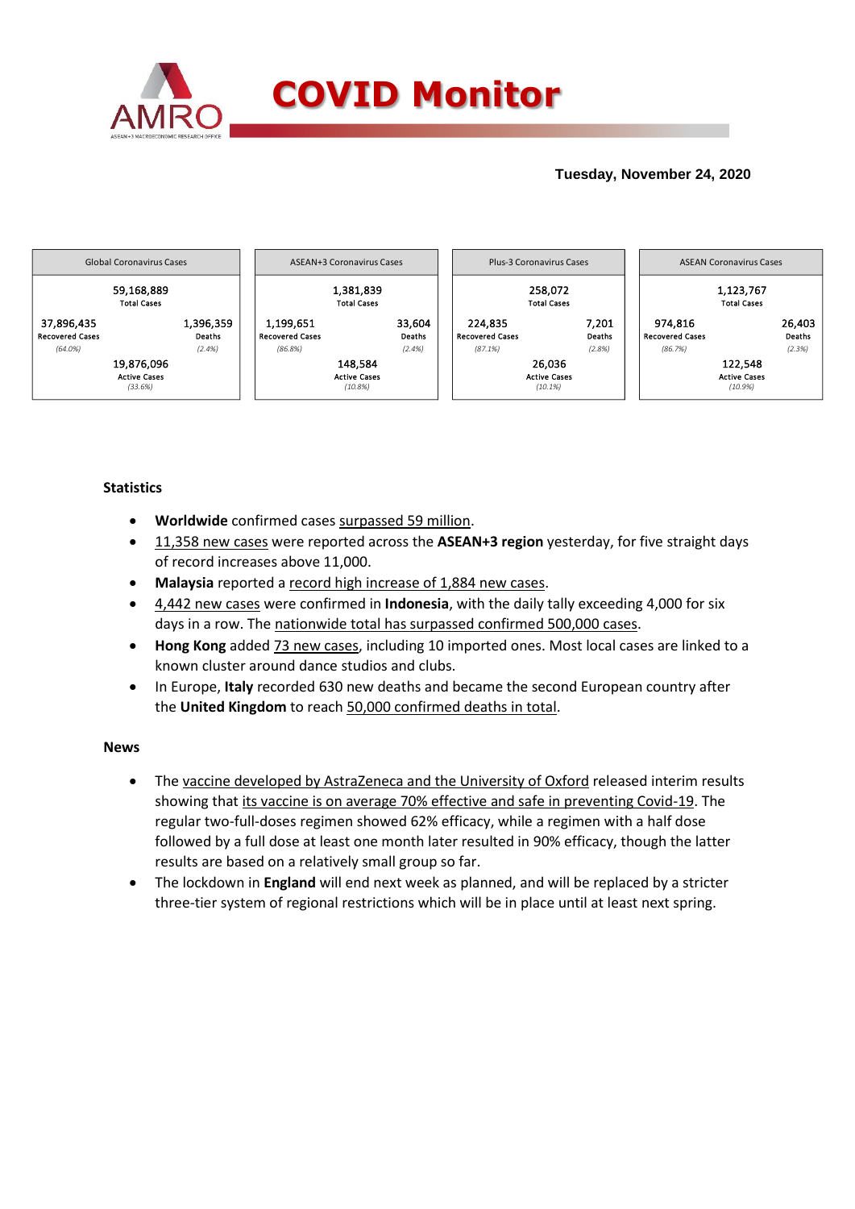

## **Tuesday, November 24, 2020**



### **Statistics**

- **Worldwide** confirmed cases surpassed 59 million.
- 11,358 new cases were reported across the **ASEAN+3 region** yesterday, for five straight days of record increases above 11,000.
- **Malaysia** reported a record high increase of 1,884 new cases.
- 4,442 new cases were confirmed in **Indonesia**, with the daily tally exceeding 4,000 for six days in a row. The nationwide total has surpassed confirmed 500,000 cases.
- **Hong Kong** added 73 new cases, including 10 imported ones. Most local cases are linked to a known cluster around dance studios and clubs.
- In Europe, **Italy** recorded 630 new deaths and became the second European country after the **United Kingdom** to reach 50,000 confirmed deaths in total.

### **News**

- The vaccine developed by AstraZeneca and the University of Oxford released interim results showing that its vaccine is on average 70% effective and safe in preventing Covid-19. The regular two-full-doses regimen showed 62% efficacy, while a regimen with a half dose followed by a full dose at least one month later resulted in 90% efficacy, though the latter results are based on a relatively small group so far.
- The lockdown in **England** will end next week as planned, and will be replaced by a stricter three-tier system of regional restrictions which will be in place until at least next spring.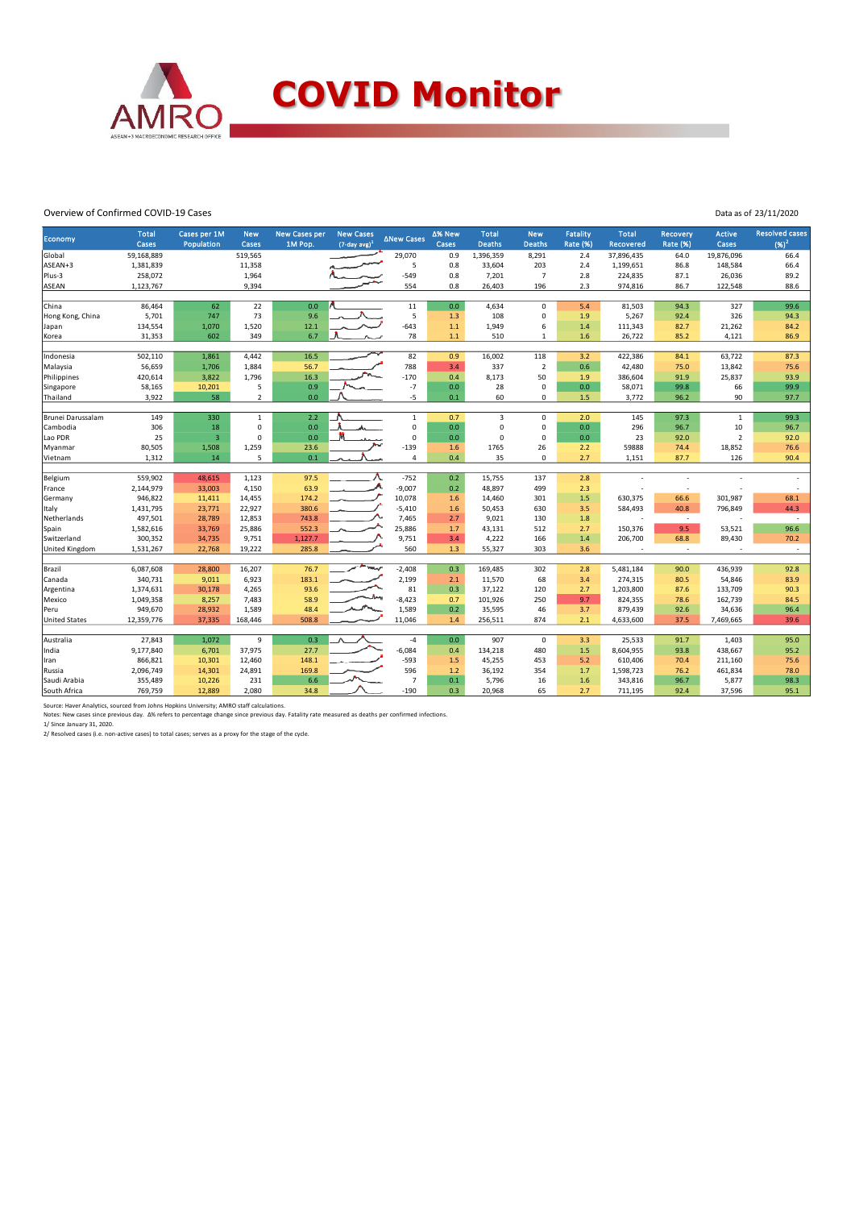

#### Overview of Confirmed COVID-19 Cases

Data as of 23/11/2020

| Economy                                                                                  | <b>Total</b> | Cases per 1M      | <b>New</b>     | <b>New Cases per</b> | <b>New Cases</b>            | ∆New Cases     | ∆% New | <b>Total</b>  | <b>New</b>     | <b>Fatality</b> | <b>Total</b>     | <b>Recovery</b>          | Active         | <b>Resolved cases</b> |
|------------------------------------------------------------------------------------------|--------------|-------------------|----------------|----------------------|-----------------------------|----------------|--------|---------------|----------------|-----------------|------------------|--------------------------|----------------|-----------------------|
|                                                                                          | Cases        | <b>Population</b> | Cases          | 1M Pop.              | $(7$ -day avg) <sup>1</sup> |                | Cases  | <b>Deaths</b> | <b>Deaths</b>  | <b>Rate (%)</b> | <b>Recovered</b> | <b>Rate (%)</b>          | <b>Cases</b>   | $(96)^2$              |
| Global                                                                                   | 59,168,889   |                   | 519,565        |                      |                             | 29,070         | 0.9    | 1,396,359     | 8,291          | 2.4             | 37,896,435       | 64.0                     | 19,876,096     | 66.4                  |
| ASEAN+3                                                                                  | 1,381,839    |                   | 11,358         |                      |                             | 5              | 0.8    | 33,604        | 203            | 2.4             | 1,199,651        | 86.8                     | 148,584        | 66.4                  |
| Plus-3                                                                                   | 258,072      |                   | 1,964          |                      |                             | $-549$         | 0.8    | 7,201         | $\overline{7}$ | 2.8             | 224,835          | 87.1                     | 26,036         | 89.2                  |
| ASEAN                                                                                    | 1,123,767    |                   | 9,394          |                      |                             | 554            | 0.8    | 26,403        | 196            | 2.3             | 974,816          | 86.7                     | 122,548        | 88.6                  |
|                                                                                          |              |                   |                |                      |                             |                |        |               |                |                 |                  |                          |                |                       |
| China                                                                                    | 86,464       | 62                | 22             | 0.0                  |                             | 11             | 0.0    | 4,634         | $\mathbf 0$    | 5.4             | 81,503           | 94.3                     | 327            | 99.6                  |
| Hong Kong, China                                                                         | 5,701        | 747               | 73             | 9.6                  |                             | 5              | 1.3    | 108           | $\pmb{0}$      | 1.9             | 5,267            | 92.4                     | 326            | 94.3                  |
| Japan                                                                                    | 134,554      | 1,070             | 1,520          | 12.1                 |                             | $-643$         | 1.1    | 1,949         | 6              | 1.4             | 111,343          | 82.7                     | 21,262         | 84.2                  |
| Korea                                                                                    | 31,353       | 602               | 349            | 6.7                  |                             | 78             | $1.1$  | 510           | 1              | 1.6             | 26,722           | 85.2                     | 4,121          | 86.9                  |
| Indonesia                                                                                | 502,110      | 1,861             | 4,442          | 16.5                 |                             | 82             | 0.9    | 16,002        | 118            | 3.2             | 422,386          | 84.1                     | 63,722         | 87.3                  |
| Malaysia                                                                                 | 56,659       | 1,706             | 1,884          | 56.7                 |                             | 788            | 3.4    | 337           | $\overline{2}$ | 0.6             | 42,480           | 75.0                     | 13,842         | 75.6                  |
| Philippines                                                                              | 420,614      | 3,822             | 1,796          | 16.3                 |                             | $-170$         | 0.4    | 8,173         | 50             | 1.9             | 386,604          | 91.9                     | 25,837         | 93.9                  |
| Singapore                                                                                | 58,165       | 10,201            | 5              | 0.9                  |                             | $-7$           | 0.0    | 28            | $\mathbf 0$    | 0.0             | 58,071           | 99.8                     | 66             | 99.9                  |
| Thailand                                                                                 | 3,922        | 58                | $\overline{2}$ | 0.0                  |                             | $-5$           | 0.1    | 60            | 0              | 1.5             | 3,772            | 96.2                     | 90             | 97.7                  |
| Brunei Darussalam                                                                        | 149          | 330               | $\,1\,$        | 2.2                  |                             | $\mathbf 1$    | 0.7    | 3             | $\mathbf 0$    | 2.0             | 145              | 97.3                     | $\mathbf{1}$   | 99.3                  |
| Cambodia                                                                                 | 306          | 18                | 0              | 0.0                  |                             | $\mathbf 0$    | 0.0    | $\Omega$      | $\pmb{0}$      | 0.0             | 296              | 96.7                     | 10             | 96.7                  |
| Lao PDR                                                                                  | 25           | $\overline{3}$    | 0              | 0.0                  |                             | $\mathbf 0$    | 0.0    | $\Omega$      | $\mathbf 0$    | 0.0             | 23               | 92.0                     | $\overline{2}$ | 92.0                  |
| Myanmar                                                                                  | 80,505       | 1,508             | 1,259          | 23.6                 |                             | $-139$         | 1.6    | 1765          | 26             | 2.2             | 59888            | 74.4                     | 18,852         | 76.6                  |
| Vietnam                                                                                  | 1,312        | 14                | 5              | 0.1                  |                             | $\overline{4}$ | 0.4    | 35            | $\mathbf 0$    | 2.7             | 1,151            | 87.7                     | 126            | 90.4                  |
|                                                                                          |              |                   |                |                      |                             |                |        |               |                |                 |                  |                          |                |                       |
| Belgium                                                                                  | 559,902      | 48,615            | 1,123          | 97.5                 |                             | $-752$         | 0.2    | 15,755        | 137            | 2.8             |                  |                          |                |                       |
| France                                                                                   | 2,144,979    | 33,003            | 4,150          | 63.9                 |                             | $-9,007$       | 0.2    | 48,897        | 499            | 2.3             |                  | $\overline{\phantom{a}}$ |                |                       |
| Germany                                                                                  | 946,822      | 11,411            | 14,455         | 174.2                |                             | 10,078         | 1.6    | 14,460        | 301            | 1.5             | 630,375          | 66.6                     | 301,987        | 68.1                  |
| Italy                                                                                    | 1,431,795    | 23,771            | 22,927         | 380.6                |                             | $-5,410$       | 1.6    | 50,453        | 630            | 3.5             | 584,493          | 40.8                     | 796,849        | 44.3                  |
| Netherlands                                                                              | 497,501      | 28,789            | 12,853         | 743.8                |                             | 7,465          | 2.7    | 9,021         | 130            | 1.8             |                  | $\sim$                   |                | $\sim$                |
| Spain                                                                                    | 1,582,616    | 33,769            | 25,886         | 552.3                |                             | 25,886         | 1.7    | 43,131        | 512            | 2.7             | 150,376          | 9.5                      | 53,521         | 96.6                  |
| Switzerland                                                                              | 300,352      | 34,735            | 9,751          | 1,127.7              |                             | 9,751          | 3.4    | 4,222         | 166            | 1.4             | 206,700          | 68.8                     | 89,430         | 70.2                  |
| United Kingdom                                                                           | 1,531,267    | 22,768            | 19,222         | 285.8                |                             | 560            | 1.3    | 55,327        | 303            | 3.6             |                  | $\sim$                   |                | $\sim$                |
| Brazil                                                                                   | 6,087,608    | 28,800            | 16,207         | 76.7                 |                             | $-2,408$       | 0.3    | 169,485       | 302            | 2.8             | 5,481,184        | 90.0                     | 436,939        | 92.8                  |
| Canada                                                                                   | 340,731      | 9,011             | 6,923          | 183.1                |                             | 2,199          | 2.1    | 11,570        | 68             | 3.4             | 274,315          | 80.5                     | 54,846         | 83.9                  |
| Argentina                                                                                | 1,374,631    | 30,178            | 4,265          | 93.6                 |                             | 81             | 0.3    | 37,122        | 120            | 2.7             | 1,203,800        | 87.6                     | 133,709        | 90.3                  |
| Mexico                                                                                   | 1,049,358    | 8,257             | 7,483          | 58.9                 |                             | $-8,423$       | 0.7    | 101,926       | 250            | 9.7             | 824,355          | 78.6                     | 162,739        | 84.5                  |
| Peru                                                                                     | 949,670      | 28,932            | 1,589          | 48.4                 |                             | 1,589          | 0.2    | 35,595        | 46             | 3.7             | 879,439          | 92.6                     | 34,636         | 96.4                  |
| <b>United States</b>                                                                     | 12,359,776   | 37,335            | 168,446        | 508.8                |                             | 11,046         | 1.4    | 256,511       | 874            | 2.1             | 4,633,600        | 37.5                     | 7,469,665      | 39.6                  |
|                                                                                          |              |                   |                |                      |                             |                |        |               |                |                 |                  |                          |                |                       |
| Australia                                                                                | 27,843       | 1,072             | 9              | 0.3                  |                             | $-4$           | 0.0    | 907           | $\mathsf 0$    | 3.3             | 25,533           | 91.7                     | 1,403          | 95.0                  |
| India                                                                                    | 9,177,840    | 6,701             | 37,975         | 27.7                 |                             | $-6,084$       | 0.4    | 134,218       | 480            | 1.5             | 8,604,955        | 93.8                     | 438,667        | 95.2                  |
| Iran                                                                                     | 866,821      | 10,301            | 12,460         | 148.1                |                             | $-593$         | 1.5    | 45,255        | 453            | 5.2             | 610,406          | 70.4                     | 211,160        | 75.6                  |
| Russia                                                                                   | 2,096,749    | 14,301            | 24,891         | 169.8                |                             | 596            | 1.2    | 36,192        | 354            | 1.7             | 1,598,723        | 76.2                     | 461,834        | 78.0                  |
| Saudi Arabia                                                                             | 355,489      | 10,226            | 231            | 6.6                  |                             | $\overline{7}$ | 0.1    | 5,796         | 16             | 1.6             | 343,816          | 96.7                     | 5,877          | 98.3                  |
| South Africa                                                                             | 769,759      | 12,889            | 2.080          | 34.8                 |                             | $-190$         | 0.3    | 20,968        | 65             | 2.7             | 711,195          | 92.4                     | 37,596         | 95.1                  |
| Source: Haver Analytics, sourced from Johns Hopkins University; AMRO staff calculations. |              |                   |                |                      |                             |                |        |               |                |                 |                  |                          |                |                       |

Notes: New cases since previous day. Δ% refers to percentage change since previous day. Fatality rate measured as deaths per confirmed infections.<br>1/ Since January 31, 2020.<br>2/ Resolved cases (i.e. non-active cases) to to